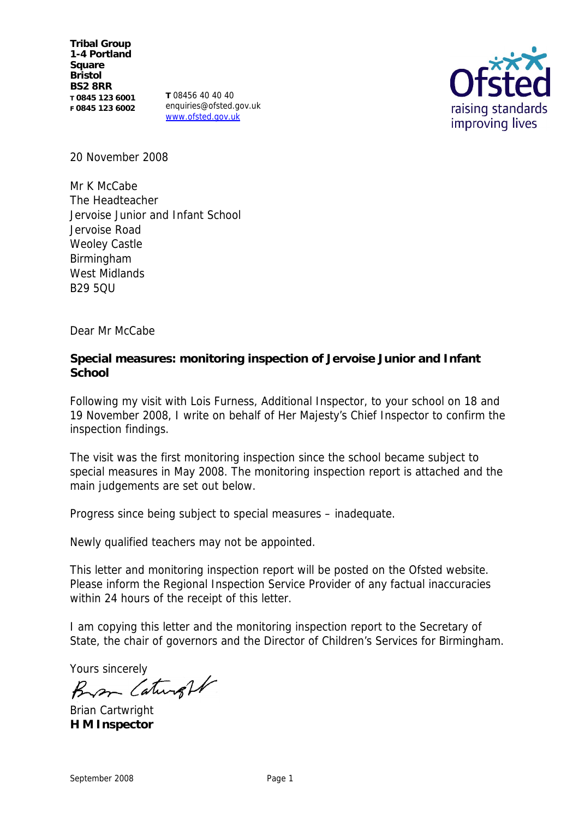**Tribal Group 1-4 Portland Square Bristol BS2 8RR T 0845 123 6001 F 0845 123 6002**

**T** 08456 40 40 40 enquiries@ofsted.gov.uk www.ofsted.gov.uk



20 November 2008

Mr K McCabe The Headteacher Jervoise Junior and Infant School Jervoise Road Weoley Castle Birmingham West Midlands B29 5QU

Dear Mr McCabe

**Special measures: monitoring inspection of Jervoise Junior and Infant School**

Following my visit with Lois Furness, Additional Inspector, to your school on 18 and 19 November 2008, I write on behalf of Her Majesty's Chief Inspector to confirm the inspection findings.

The visit was the first monitoring inspection since the school became subject to special measures in May 2008. The monitoring inspection report is attached and the main judgements are set out below.

Progress since being subject to special measures – inadequate.

Newly qualified teachers may not be appointed.

This letter and monitoring inspection report will be posted on the Ofsted website. Please inform the Regional Inspection Service Provider of any factual inaccuracies within 24 hours of the receipt of this letter.

I am copying this letter and the monitoring inspection report to the Secretary of State, the chair of governors and the Director of Children's Services for Birmingham.

Yours sincerely<br>Bran Caturight

Brian Cartwright **H M Inspector**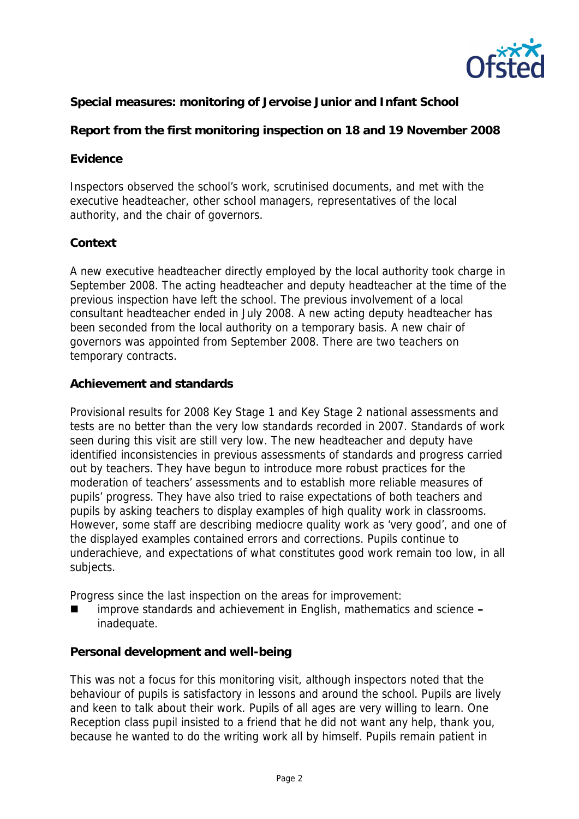

**Special measures: monitoring of Jervoise Junior and Infant School**

**Report from the first monitoring inspection on 18 and 19 November 2008**

#### **Evidence**

Inspectors observed the school's work, scrutinised documents, and met with the executive headteacher, other school managers, representatives of the local authority, and the chair of governors.

## **Context**

A new executive headteacher directly employed by the local authority took charge in September 2008. The acting headteacher and deputy headteacher at the time of the previous inspection have left the school. The previous involvement of a local consultant headteacher ended in July 2008. A new acting deputy headteacher has been seconded from the local authority on a temporary basis. A new chair of governors was appointed from September 2008. There are two teachers on temporary contracts.

## **Achievement and standards**

Provisional results for 2008 Key Stage 1 and Key Stage 2 national assessments and tests are no better than the very low standards recorded in 2007. Standards of work seen during this visit are still very low. The new headteacher and deputy have identified inconsistencies in previous assessments of standards and progress carried out by teachers. They have begun to introduce more robust practices for the moderation of teachers' assessments and to establish more reliable measures of pupils' progress. They have also tried to raise expectations of both teachers and pupils by asking teachers to display examples of high quality work in classrooms. However, some staff are describing mediocre quality work as 'very good', and one of the displayed examples contained errors and corrections. Pupils continue to underachieve, and expectations of what constitutes good work remain too low, in all subjects.

Progress since the last inspection on the areas for improvement:

 improve standards and achievement in English, mathematics and science **–** inadequate.

#### **Personal development and well-being**

This was not a focus for this monitoring visit, although inspectors noted that the behaviour of pupils is satisfactory in lessons and around the school. Pupils are lively and keen to talk about their work. Pupils of all ages are very willing to learn. One Reception class pupil insisted to a friend that he did not want any help, thank you, because he wanted to do the writing work all by himself. Pupils remain patient in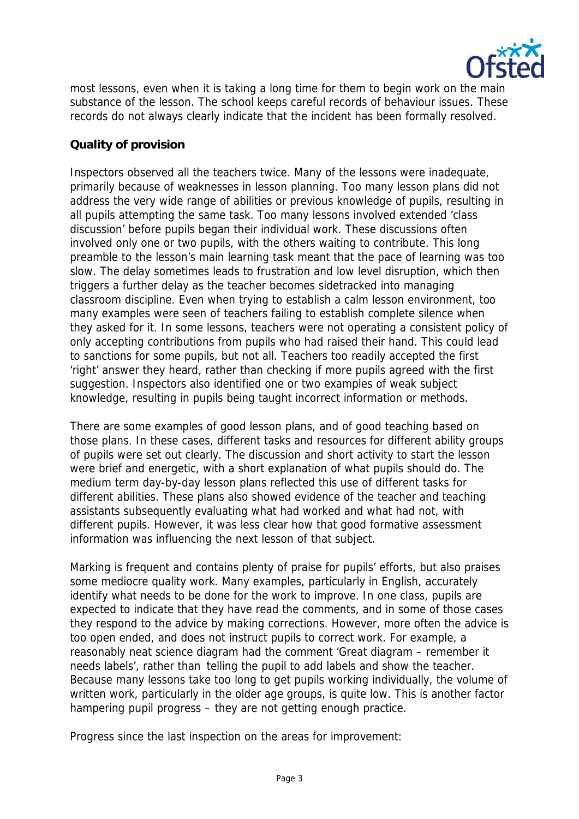

most lessons, even when it is taking a long time for them to begin work on the main substance of the lesson. The school keeps careful records of behaviour issues. These records do not always clearly indicate that the incident has been formally resolved.

## **Quality of provision**

Inspectors observed all the teachers twice. Many of the lessons were inadequate, primarily because of weaknesses in lesson planning. Too many lesson plans did not address the very wide range of abilities or previous knowledge of pupils, resulting in all pupils attempting the same task. Too many lessons involved extended 'class discussion' before pupils began their individual work. These discussions often involved only one or two pupils, with the others waiting to contribute. This long preamble to the lesson's main learning task meant that the pace of learning was too slow. The delay sometimes leads to frustration and low level disruption, which then triggers a further delay as the teacher becomes sidetracked into managing classroom discipline. Even when trying to establish a calm lesson environment, too many examples were seen of teachers failing to establish complete silence when they asked for it. In some lessons, teachers were not operating a consistent policy of only accepting contributions from pupils who had raised their hand. This could lead to sanctions for some pupils, but not all. Teachers too readily accepted the first 'right' answer they heard, rather than checking if more pupils agreed with the first suggestion. Inspectors also identified one or two examples of weak subject knowledge, resulting in pupils being taught incorrect information or methods.

There are some examples of good lesson plans, and of good teaching based on those plans. In these cases, different tasks and resources for different ability groups of pupils were set out clearly. The discussion and short activity to start the lesson were brief and energetic, with a short explanation of what pupils should do. The medium term day-by-day lesson plans reflected this use of different tasks for different abilities. These plans also showed evidence of the teacher and teaching assistants subsequently evaluating what had worked and what had not, with different pupils. However, it was less clear how that good formative assessment information was influencing the next lesson of that subject.

Marking is frequent and contains plenty of praise for pupils' efforts, but also praises some mediocre quality work. Many examples, particularly in English, accurately identify what needs to be done for the work to improve. In one class, pupils are expected to indicate that they have read the comments, and in some of those cases they respond to the advice by making corrections. However, more often the advice is too open ended, and does not instruct pupils to correct work. For example, a reasonably neat science diagram had the comment 'Great diagram – remember it needs labels', rather than 'telling the pupil to add labels and show the teacher. Because many lessons take too long to get pupils working individually, the volume of written work, particularly in the older age groups, is quite low. This is another factor hampering pupil progress – they are not getting enough practice.

Progress since the last inspection on the areas for improvement: